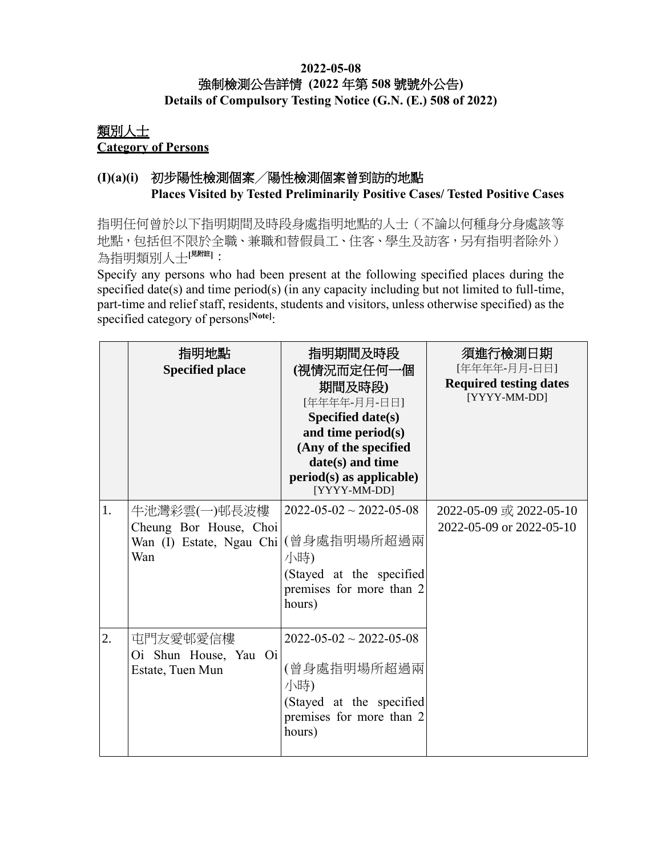### **2022-05-08** 強制檢測公告詳情 **(2022** 年第 **508** 號號外公告**) Details of Compulsory Testing Notice (G.N. (E.) 508 of 2022)**

### 類別人士 **Category of Persons**

## **(I)(a)(i)** 初步陽性檢測個案╱陽性檢測個案曾到訪的地點 **Places Visited by Tested Preliminarily Positive Cases/ Tested Positive Cases**

指明任何曾於以下指明期間及時段身處指明地點的人士(不論以何種身分身處該等 地點,包括但不限於全職、兼職和替假員工、住客、學生及訪客,另有指明者除外) 為指明類別人士[<sup>見附註]</sup>:

Specify any persons who had been present at the following specified places during the specified date(s) and time period(s) (in any capacity including but not limited to full-time, part-time and relief staff, residents, students and visitors, unless otherwise specified) as the specified category of persons**[Note]**:

|                  | 指明地點<br><b>Specified place</b>                                                        | 指明期間及時段<br>(視情況而定任何一個<br>期間及時段)<br>[年年年年-月月-日日]<br><b>Specified date(s)</b><br>and time period(s)<br>(Any of the specified<br>date(s) and time<br>$period(s)$ as applicable)<br>[YYYY-MM-DD] | 須進行檢測日期<br>[年年年年-月月-日日]<br><b>Required testing dates</b><br>[YYYY-MM-DD] |
|------------------|---------------------------------------------------------------------------------------|----------------------------------------------------------------------------------------------------------------------------------------------------------------------------------------------|--------------------------------------------------------------------------|
| 1.               | 牛池灣彩雲(一)邨長波樓<br>Cheung Bor House, Choi<br>Wan (I) Estate, Ngau Chi (曾身處指明場所超過兩<br>Wan | $2022 - 05 - 02 \sim 2022 - 05 - 08$<br>小時)<br>(Stayed at the specified<br>premises for more than 2<br>hours)                                                                                | 2022-05-09 或 2022-05-10<br>2022-05-09 or 2022-05-10                      |
| $\overline{2}$ . | 屯門友愛邨愛信樓<br>Oi Shun House, Yau Oi<br>Estate, Tuen Mun                                 | $2022 - 05 - 02 \sim 2022 - 05 - 08$<br>(曾身處指明場所超過兩<br>小時)<br>(Stayed at the specified<br>premises for more than 2<br>hours)                                                                 |                                                                          |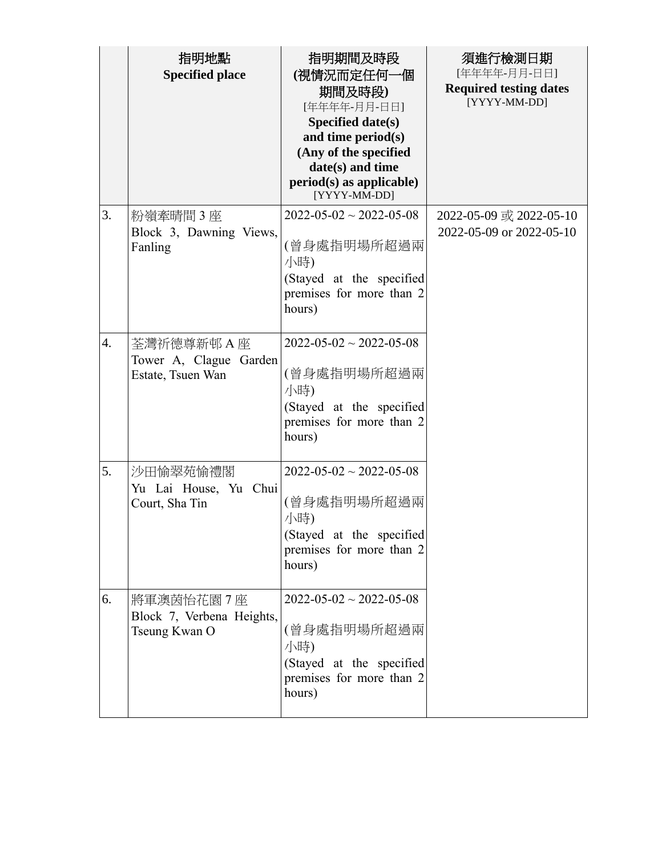|    | 指明地點<br><b>Specified place</b>                             | 指明期間及時段<br>(視情況而定任何一個<br>期間及時段)<br>[年年年年-月月-日日]<br>Specified date(s)<br>and time period(s)<br>(Any of the specified<br>date(s) and time<br>$period(s)$ as applicable)<br>[YYYY-MM-DD] | 須進行檢測日期<br>[年年年年-月月-日日]<br><b>Required testing dates</b><br>[YYYY-MM-DD] |
|----|------------------------------------------------------------|---------------------------------------------------------------------------------------------------------------------------------------------------------------------------------------|--------------------------------------------------------------------------|
| 3. | 粉嶺牽晴間3座<br>Block 3, Dawning Views,<br>Fanling              | $2022 - 05 - 02 \sim 2022 - 05 - 08$<br>(曾身處指明場所超過兩<br>小時)<br>(Stayed at the specified<br>premises for more than 2<br>hours)                                                          | 2022-05-09 或 2022-05-10<br>2022-05-09 or 2022-05-10                      |
| 4. | 荃灣祈德尊新邨 A 座<br>Tower A, Clague Garden<br>Estate, Tsuen Wan | $2022 - 05 - 02 \sim 2022 - 05 - 08$<br>(曾身處指明場所超過兩<br>小時)<br>(Stayed at the specified<br>premises for more than 2<br>hours)                                                          |                                                                          |
| 5. | 沙田愉翠苑愉禮閣<br>Yu Lai House, Yu Chui<br>Court, Sha Tin        | $2022 - 05 - 02 \sim 2022 - 05 - 08$<br>(曾身處指明場所超過兩<br>小時)<br>(Stayed at the specified<br>premises for more than 2<br>hours)                                                          |                                                                          |
| 6. | 將軍澳茵怡花園7座<br>Block 7, Verbena Heights,<br>Tseung Kwan O    | $2022 - 05 - 02 \sim 2022 - 05 - 08$<br>(曾身處指明場所超過兩<br>小時)<br>(Stayed at the specified<br>premises for more than 2<br>hours)                                                          |                                                                          |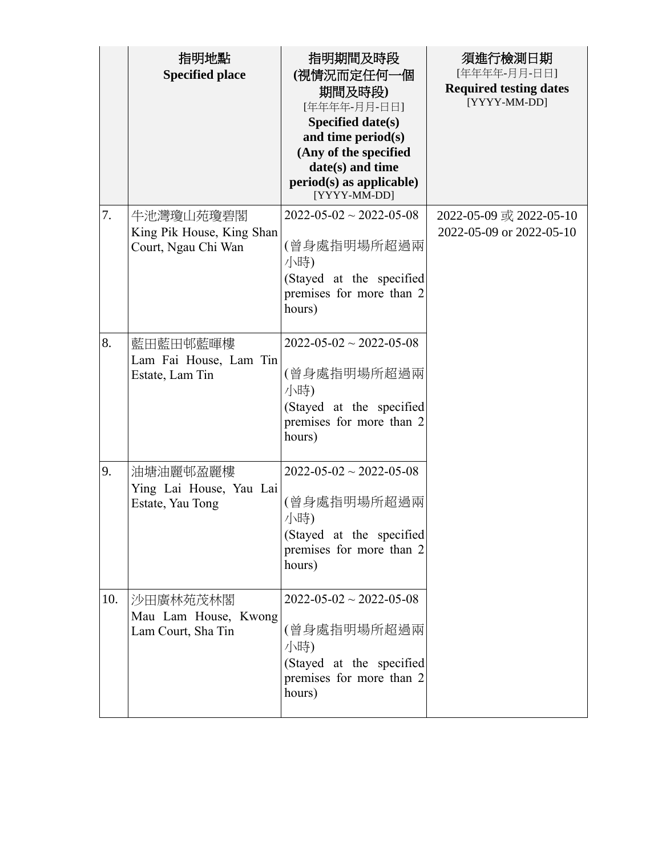|     | 指明地點<br><b>Specified place</b>                                | 指明期間及時段<br>(視情況而定任何一個<br>期間及時段)<br>[年年年年-月月-日日]<br>Specified date(s)<br>and time period(s)<br>(Any of the specified<br>date(s) and time<br>$period(s)$ as applicable)<br>[YYYY-MM-DD] | 須進行檢測日期<br>[年年年年-月月-日日]<br><b>Required testing dates</b><br>[YYYY-MM-DD] |
|-----|---------------------------------------------------------------|---------------------------------------------------------------------------------------------------------------------------------------------------------------------------------------|--------------------------------------------------------------------------|
| 7.  | 牛池灣瓊山苑瓊碧閣<br>King Pik House, King Shan<br>Court, Ngau Chi Wan | $2022 - 05 - 02 \sim 2022 - 05 - 08$<br>(曾身處指明場所超過兩<br>小時)<br>(Stayed at the specified<br>premises for more than 2<br>hours)                                                          | 2022-05-09 或 2022-05-10<br>2022-05-09 or 2022-05-10                      |
| 8.  | 藍田藍田邨藍暉樓<br>Lam Fai House, Lam Tin<br>Estate, Lam Tin         | $2022 - 05 - 02 \sim 2022 - 05 - 08$<br>(曾身處指明場所超過兩<br>小時)<br>(Stayed at the specified<br>premises for more than 2<br>hours)                                                          |                                                                          |
| 9.  | 油塘油麗邨盈麗樓<br>Ying Lai House, Yau Lai<br>Estate, Yau Tong       | $2022 - 05 - 02 \sim 2022 - 05 - 08$<br>(曾身處指明場所超過兩<br>小時)<br>(Stayed at the specified<br>premises for more than 2<br>hours)                                                          |                                                                          |
| 10. | 沙田廣林苑茂林閣<br>Mau Lam House, Kwong<br>Lam Court, Sha Tin        | $2022 - 05 - 02 \sim 2022 - 05 - 08$<br>(曾身處指明場所超過兩<br>小時)<br>(Stayed at the specified<br>premises for more than 2<br>hours)                                                          |                                                                          |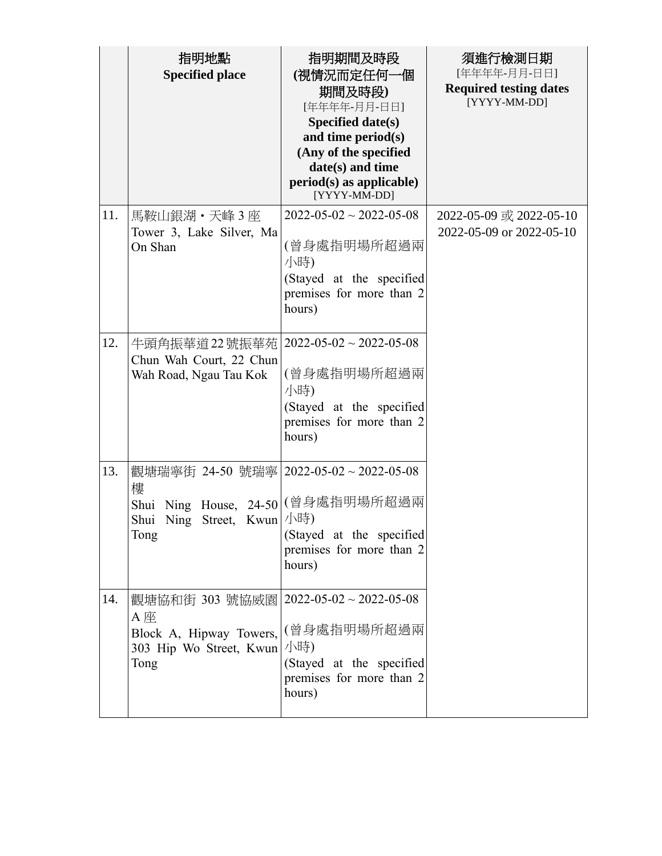|     | 指明地點<br><b>Specified place</b>                                                                                                   | 指明期間及時段<br>(視情況而定任何一個<br>期間及時段)<br>[年年年年-月月-日日]<br>Specified date(s)<br>and time period(s)<br>(Any of the specified<br>date(s) and time<br>$period(s)$ as applicable)<br>[YYYY-MM-DD] | 須進行檢測日期<br>[年年年年-月月-日日]<br><b>Required testing dates</b><br>[YYYY-MM-DD] |
|-----|----------------------------------------------------------------------------------------------------------------------------------|---------------------------------------------------------------------------------------------------------------------------------------------------------------------------------------|--------------------------------------------------------------------------|
| 11. | 馬鞍山銀湖・天峰3座<br>Tower 3, Lake Silver, Ma<br>On Shan                                                                                | $2022 - 05 - 02 \sim 2022 - 05 - 08$<br>(曾身處指明場所超過兩<br>小時)<br>(Stayed at the specified<br>premises for more than 2<br>hours)                                                          | 2022-05-09 或 2022-05-10<br>2022-05-09 or 2022-05-10                      |
| 12. | 牛頭角振華道22號振華苑<br>Chun Wah Court, 22 Chun<br>Wah Road, Ngau Tau Kok                                                                | $2022 - 05 - 02 \sim 2022 - 05 - 08$<br>(曾身處指明場所超過兩<br>小時)<br>(Stayed at the specified<br>premises for more than 2<br>hours)                                                          |                                                                          |
| 13. | 觀塘瑞寧街 24-50 號瑞寧 2022-05-02~2022-05-08<br>樓<br>Shui Ning House, 24-50 (曾身處指明場所超過兩<br>Shui Ning Street, Kwun   小時)<br>Tong         | (Stayed at the specified<br>premises for more than 2<br>hours)                                                                                                                        |                                                                          |
| 14. | 觀塘協和街 303 號協威園   2022-05-02 ~ 2022-05-08<br>A 座<br>Block A, Hipway Towers, (曾身處指明場所超過兩<br>303 Hip Wo Street, Kwun  / 小時)<br>Tong | (Stayed at the specified<br>premises for more than 2<br>hours)                                                                                                                        |                                                                          |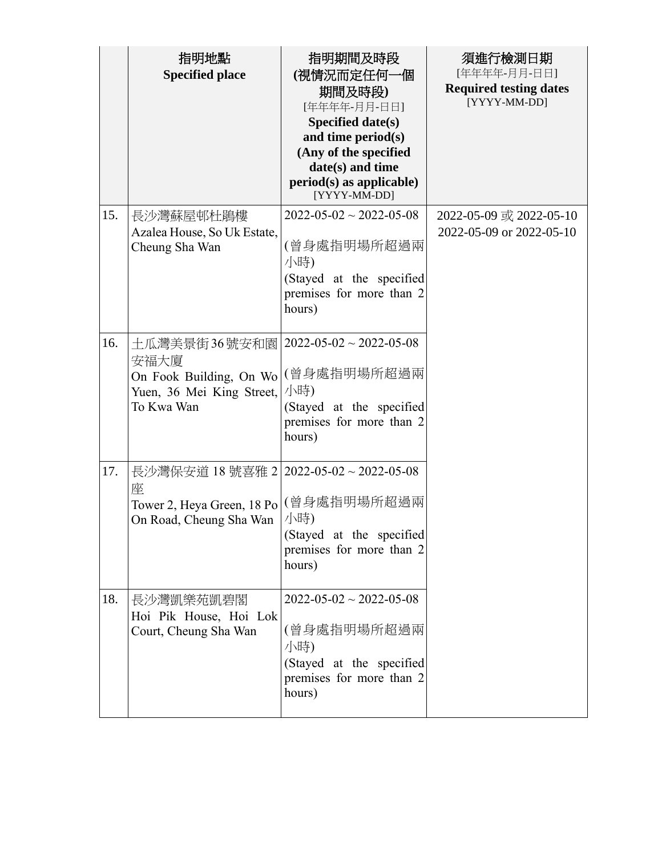|     | 指明地點<br><b>Specified place</b>                                                                                                 | 指明期間及時段<br>(視情況而定任何一個<br>期間及時段)<br>[年年年年-月月-日日]<br>Specified date(s)<br>and time period(s)<br>(Any of the specified<br>date(s) and time<br>$period(s)$ as applicable)<br>[YYYY-MM-DD] | 須進行檢測日期<br>[年年年年-月月-日日]<br><b>Required testing dates</b><br>[YYYY-MM-DD] |
|-----|--------------------------------------------------------------------------------------------------------------------------------|---------------------------------------------------------------------------------------------------------------------------------------------------------------------------------------|--------------------------------------------------------------------------|
| 15. | 長沙灣蘇屋邨杜鵑樓<br>Azalea House, So Uk Estate,<br>Cheung Sha Wan                                                                     | $2022 - 05 - 02 \sim 2022 - 05 - 08$<br>(曾身處指明場所超過兩<br>小時)<br>(Stayed at the specified<br>premises for more than 2<br>hours)                                                          | 2022-05-09 或 2022-05-10<br>2022-05-09 or 2022-05-10                      |
| 16. | 土瓜灣美景街36號安和園   2022-05-02~2022-05-08<br>安福大廈<br>On Fook Building, On Wo (曾身處指明場所超過兩<br>Yuen, 36 Mei King Street,<br>To Kwa Wan | 小時)<br>(Stayed at the specified<br>premises for more than 2<br>hours)                                                                                                                 |                                                                          |
| 17. | 長沙灣保安道 18 號喜雅 2 2022-05-02~2022-05-08<br>座<br>Tower 2, Heya Green, 18 Po (曾身處指明場所超過兩<br>On Road, Cheung Sha Wan                | 小時)<br>(Stayed at the specified<br>premises for more than 2<br>hours)                                                                                                                 |                                                                          |
| 18. | 長沙灣凱樂苑凱碧閣<br>Hoi Pik House, Hoi Lok<br>Court, Cheung Sha Wan                                                                   | $2022 - 05 - 02 \sim 2022 - 05 - 08$<br>(曾身處指明場所超過兩<br>小時)<br>(Stayed at the specified<br>premises for more than 2<br>hours)                                                          |                                                                          |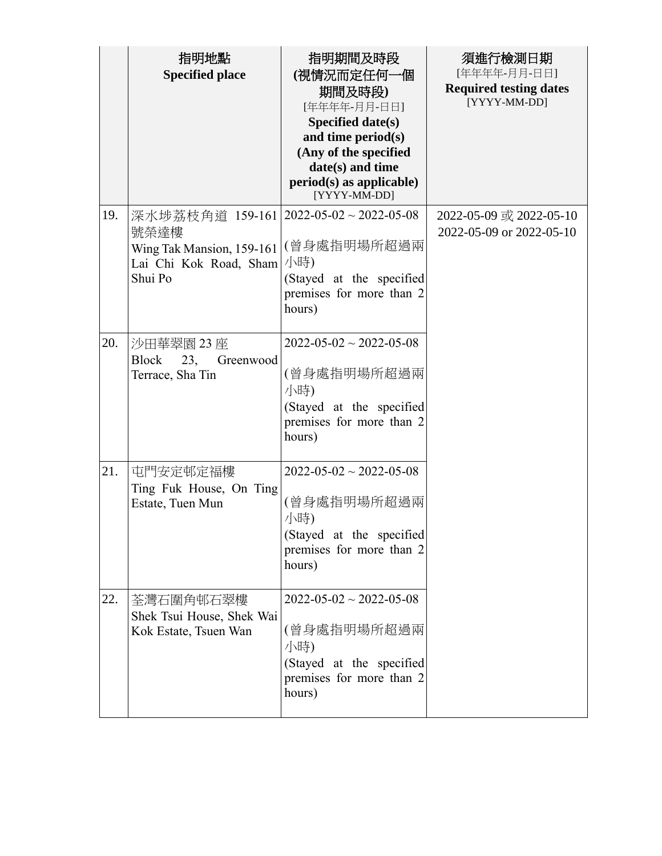|     | 指明地點<br><b>Specified place</b>                                                                                  | 指明期間及時段<br>(視情況而定任何一個<br>期間及時段)<br>[年年年年-月月-日日]<br>Specified date(s)<br>and time period(s)<br>(Any of the specified<br>date(s) and time<br>$period(s)$ as applicable)<br>[YYYY-MM-DD] | 須進行檢測日期<br>[年年年年-月月-日日]<br><b>Required testing dates</b><br>[YYYY-MM-DD] |
|-----|-----------------------------------------------------------------------------------------------------------------|---------------------------------------------------------------------------------------------------------------------------------------------------------------------------------------|--------------------------------------------------------------------------|
| 19. | 深水埗荔枝角道 159-161 2022-05-02~2022-05-08<br>號榮達樓<br>Wing Tak Mansion, 159-161<br>Lai Chi Kok Road, Sham<br>Shui Po | (曾身處指明場所超過兩<br>小時)<br>(Stayed at the specified<br>premises for more than 2<br>hours)                                                                                                  | 2022-05-09 或 2022-05-10<br>2022-05-09 or 2022-05-10                      |
| 20. | 沙田華翠園 23 座<br><b>Block</b><br>23,<br>Greenwood<br>Terrace, Sha Tin                                              | $2022 - 05 - 02 \sim 2022 - 05 - 08$<br>(曾身處指明場所超過兩<br>小時)<br>(Stayed at the specified<br>premises for more than 2<br>hours)                                                          |                                                                          |
| 21. | 屯門安定邨定福樓<br>Ting Fuk House, On Ting<br>Estate, Tuen Mun                                                         | $2022 - 05 - 02 \sim 2022 - 05 - 08$<br>(曾身處指明場所超過兩<br>小時)<br>(Stayed at the specified<br>premises for more than 2<br>hours)                                                          |                                                                          |
| 22. | 荃灣石圍角邨石翠樓<br>Shek Tsui House, Shek Wai<br>Kok Estate, Tsuen Wan                                                 | $2022 - 05 - 02 \sim 2022 - 05 - 08$<br>(曾身處指明場所超過兩<br>小時)<br>(Stayed at the specified<br>premises for more than 2<br>hours)                                                          |                                                                          |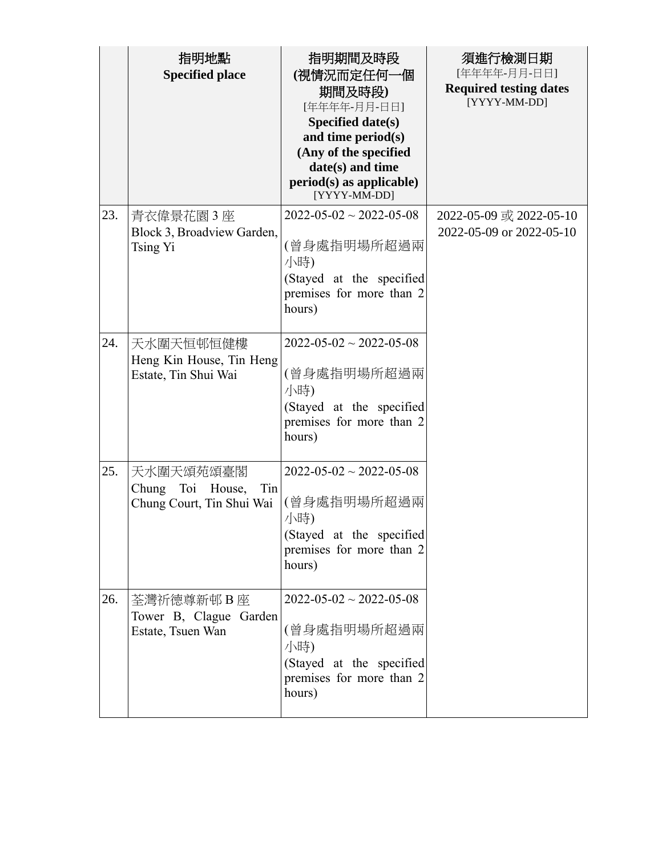|     | 指明地點<br><b>Specified place</b>                                          | 指明期間及時段<br>(視情況而定任何一個<br>期間及時段)<br>[年年年年-月月-日日]<br>Specified date(s)<br>and time period(s)<br>(Any of the specified<br>date(s) and time<br>$period(s)$ as applicable)<br>[YYYY-MM-DD] | 須進行檢測日期<br>[年年年年-月月-日日]<br><b>Required testing dates</b><br>[YYYY-MM-DD] |
|-----|-------------------------------------------------------------------------|---------------------------------------------------------------------------------------------------------------------------------------------------------------------------------------|--------------------------------------------------------------------------|
| 23. | 青衣偉景花園 3 座<br>Block 3, Broadview Garden,<br>Tsing Yi                    | $2022 - 05 - 02 \sim 2022 - 05 - 08$<br>(曾身處指明場所超過兩<br>小時)<br>(Stayed at the specified<br>premises for more than 2<br>hours)                                                          | 2022-05-09 或 2022-05-10<br>2022-05-09 or 2022-05-10                      |
| 24. | 天水圍天恒邨恒健樓<br>Heng Kin House, Tin Heng<br>Estate, Tin Shui Wai           | $2022 - 05 - 02 \sim 2022 - 05 - 08$<br>(曾身處指明場所超過兩<br>小時)<br>(Stayed at the specified<br>premises for more than 2<br>hours)                                                          |                                                                          |
| 25. | 天水圍天頌苑頌臺閣<br>Chung<br>Toi<br>Tin<br>House,<br>Chung Court, Tin Shui Wai | $2022 - 05 - 02 \sim 2022 - 05 - 08$<br>(曾身處指明場所超過兩<br>小時)<br>(Stayed at the specified<br>premises for more than 2<br>hours)                                                          |                                                                          |
| 26. | 荃灣祈德尊新邨 B 座<br>Tower B, Clague Garden<br>Estate, Tsuen Wan              | $2022 - 05 - 02 \approx 2022 - 05 - 08$<br>(曾身處指明場所超過兩<br>小時)<br>(Stayed at the specified<br>premises for more than 2<br>hours)                                                       |                                                                          |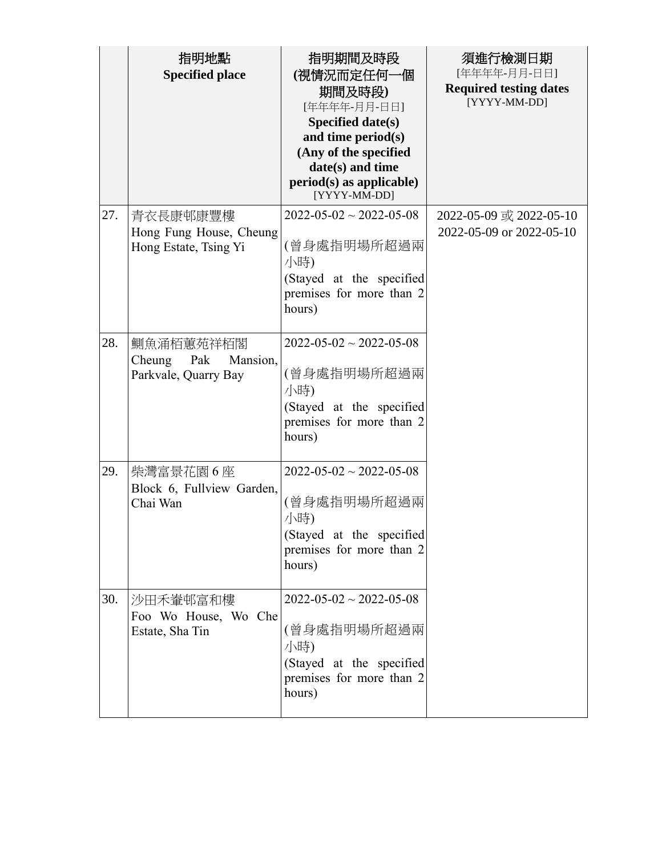|     | 指明地點<br><b>Specified place</b>                                 | 指明期間及時段<br>(視情況而定任何一個<br>期間及時段)<br>[年年年年-月月-日日]<br>Specified date(s)<br>and time period(s)<br>(Any of the specified<br>date(s) and time<br>$period(s)$ as applicable)<br>[YYYY-MM-DD] | 須進行檢測日期<br>[年年年年-月月-日日]<br><b>Required testing dates</b><br>[YYYY-MM-DD] |
|-----|----------------------------------------------------------------|---------------------------------------------------------------------------------------------------------------------------------------------------------------------------------------|--------------------------------------------------------------------------|
| 27. | 青衣長康邨康豐樓<br>Hong Fung House, Cheung<br>Hong Estate, Tsing Yi   | $2022 - 05 - 02 \sim 2022 - 05 - 08$<br>(曾身處指明場所超過兩<br>小時)<br>(Stayed at the specified<br>premises for more than 2<br>hours)                                                          | 2022-05-09 或 2022-05-10<br>2022-05-09 or 2022-05-10                      |
| 28. | 鰂魚涌栢蕙苑祥栢閣<br>Cheung<br>Pak<br>Mansion,<br>Parkvale, Quarry Bay | $2022 - 05 - 02 \sim 2022 - 05 - 08$<br>(曾身處指明場所超過兩<br>小時)<br>(Stayed at the specified<br>premises for more than 2<br>hours)                                                          |                                                                          |
| 29. | 柴灣富景花園6座<br>Block 6, Fullview Garden,<br>Chai Wan              | $2022 - 05 - 02 \sim 2022 - 05 - 08$<br>(曾身處指明場所超過兩<br>小時)<br>(Stayed at the specified<br>premises for more than 2<br>hours)                                                          |                                                                          |
| 30. | 沙田禾輋邨富和樓<br>Foo Wo House, Wo Che<br>Estate, Sha Tin            | $2022 - 05 - 02 \sim 2022 - 05 - 08$<br>(曾身處指明場所超過兩<br>小時)<br>(Stayed at the specified<br>premises for more than 2<br>hours)                                                          |                                                                          |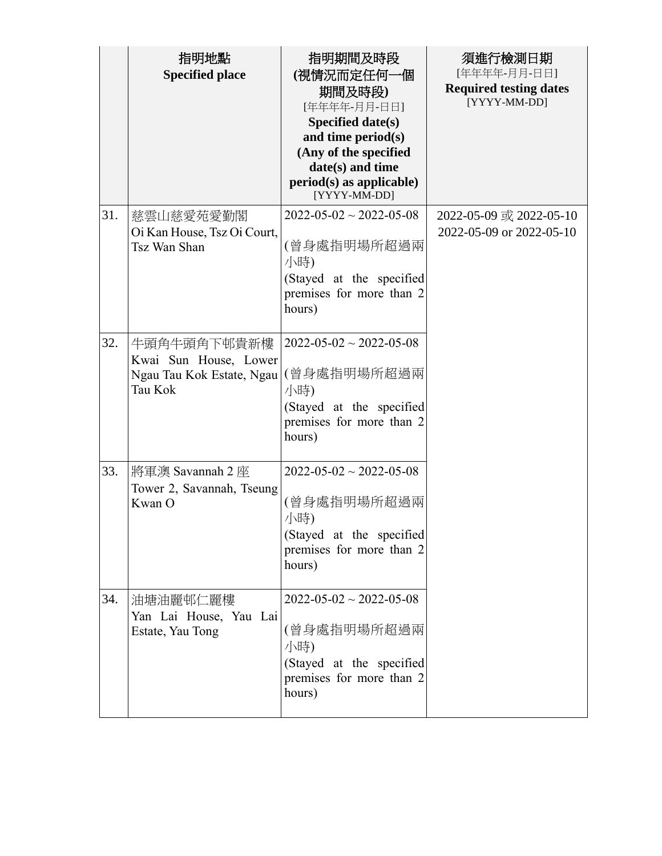|     | 指明地點<br><b>Specified place</b>                                               | 指明期間及時段<br>(視情況而定任何一個<br>期間及時段)<br>[年年年年-月月-日日]<br>Specified date(s)<br>and time period(s)<br>(Any of the specified<br>date(s) and time<br>$period(s)$ as applicable)<br>[YYYY-MM-DD] | 須進行檢測日期<br>[年年年年-月月-日日]<br><b>Required testing dates</b><br>[YYYY-MM-DD] |
|-----|------------------------------------------------------------------------------|---------------------------------------------------------------------------------------------------------------------------------------------------------------------------------------|--------------------------------------------------------------------------|
| 31. | 慈雲山慈愛苑愛勤閣<br>Oi Kan House, Tsz Oi Court,<br>Tsz Wan Shan                     | $2022 - 05 - 02 \sim 2022 - 05 - 08$<br>(曾身處指明場所超過兩<br>小時)<br>(Stayed at the specified<br>premises for more than 2<br>hours)                                                          | 2022-05-09 或 2022-05-10<br>2022-05-09 or 2022-05-10                      |
| 32. | 牛頭角牛頭角下邨貴新樓<br>Kwai Sun House, Lower<br>Ngau Tau Kok Estate, Ngau<br>Tau Kok | $2022 - 05 - 02 \sim 2022 - 05 - 08$<br>(曾身處指明場所超過兩<br>小時)<br>(Stayed at the specified<br>premises for more than 2<br>hours)                                                          |                                                                          |
| 33. | 將軍澳 Savannah 2 座<br>Tower 2, Savannah, Tseung<br>Kwan O                      | $2022 - 05 - 02 \sim 2022 - 05 - 08$<br>(曾身處指明場所超過兩<br>小時)<br>(Stayed at the specified<br>premises for more than 2<br>hours)                                                          |                                                                          |
| 34. | 油塘油麗邨仁麗樓<br>Yan Lai House, Yau Lai<br>Estate, Yau Tong                       | $2022 - 05 - 02 \approx 2022 - 05 - 08$<br>(曾身處指明場所超過兩<br>小時)<br>(Stayed at the specified<br>premises for more than 2<br>hours)                                                       |                                                                          |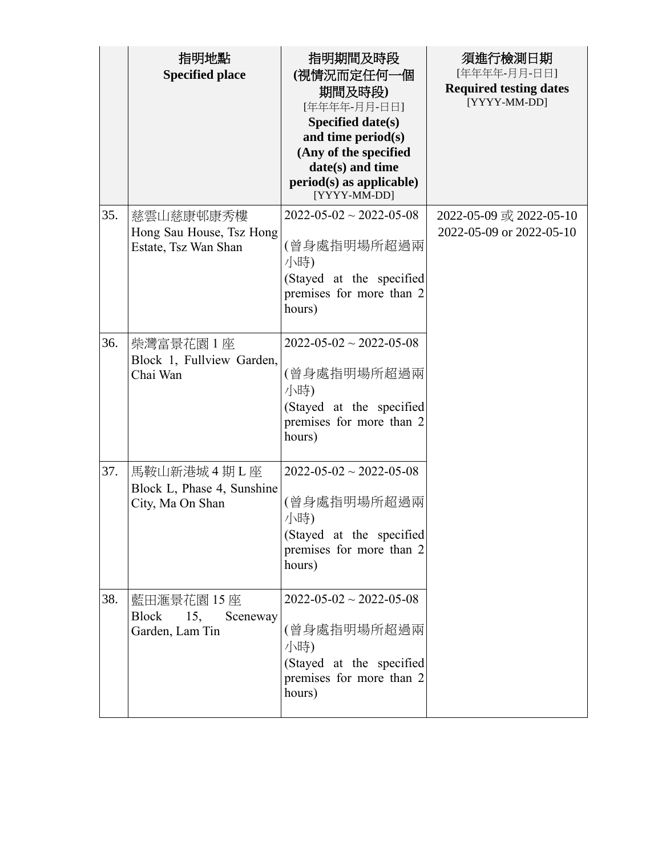|     | 指明地點<br><b>Specified place</b>                                   | 指明期間及時段<br>(視情況而定任何一個<br>期間及時段)<br>[年年年年-月月-日日]<br>Specified date(s)<br>and time period(s)<br>(Any of the specified<br>date(s) and time<br>$period(s)$ as applicable)<br>[YYYY-MM-DD] | 須進行檢測日期<br>[年年年年-月月-日日]<br><b>Required testing dates</b><br>[YYYY-MM-DD] |
|-----|------------------------------------------------------------------|---------------------------------------------------------------------------------------------------------------------------------------------------------------------------------------|--------------------------------------------------------------------------|
| 35. | 慈雲山慈康邨康秀樓<br>Hong Sau House, Tsz Hong<br>Estate, Tsz Wan Shan    | $2022 - 05 - 02 \sim 2022 - 05 - 08$<br>(曾身處指明場所超過兩<br>小時)<br>(Stayed at the specified<br>premises for more than 2<br>hours)                                                          | 2022-05-09 或 2022-05-10<br>2022-05-09 or 2022-05-10                      |
| 36. | 柴灣富景花園 1 座<br>Block 1, Fullview Garden,<br>Chai Wan              | $2022 - 05 - 02 \sim 2022 - 05 - 08$<br>(曾身處指明場所超過兩<br>小時)<br>(Stayed at the specified<br>premises for more than 2<br>hours)                                                          |                                                                          |
| 37. | 馬鞍山新港城 4 期 L 座<br>Block L, Phase 4, Sunshine<br>City, Ma On Shan | $2022 - 05 - 02 \sim 2022 - 05 - 08$<br>(曾身處指明場所超過兩<br>小時)<br>(Stayed at the specified<br>premises for more than 2<br>hours)                                                          |                                                                          |
| 38. | 藍田滙景花園 15 座<br>15,<br>Block<br>Sceneway<br>Garden, Lam Tin       | $2022 - 05 - 02 \approx 2022 - 05 - 08$<br>(曾身處指明場所超過兩<br>小時)<br>(Stayed at the specified<br>premises for more than 2<br>hours)                                                       |                                                                          |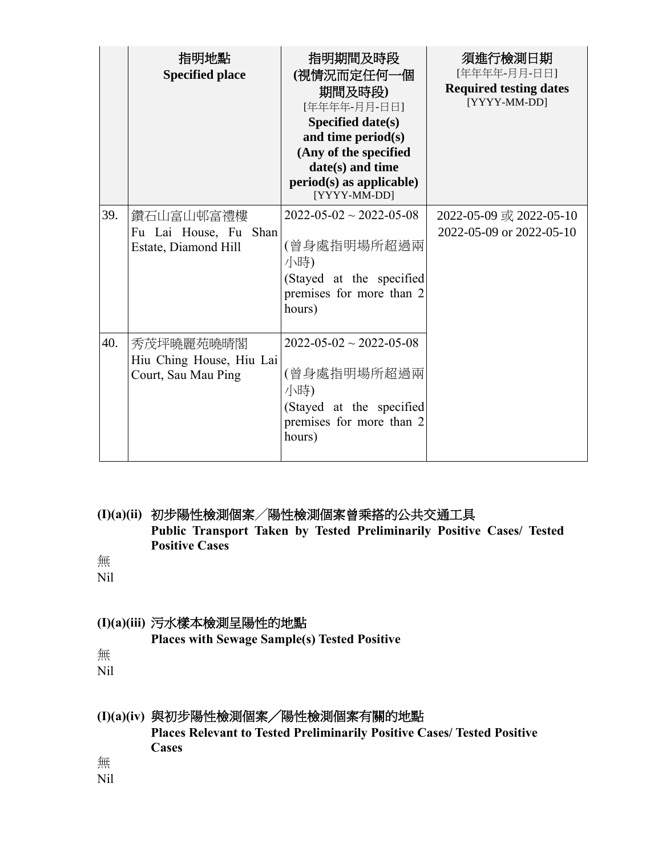|     | 指明地點<br><b>Specified place</b>                               | 指明期間及時段<br>(視情況而定任何一個<br>期間及時段)<br>[年年年年-月月-日日]<br><b>Specified date(s)</b><br>and time period(s)<br>(Any of the specified<br>date(s) and time<br>$period(s)$ as applicable)<br>[YYYY-MM-DD] | 須進行檢測日期<br>[年年年年-月月-日日]<br><b>Required testing dates</b><br>[YYYY-MM-DD] |
|-----|--------------------------------------------------------------|----------------------------------------------------------------------------------------------------------------------------------------------------------------------------------------------|--------------------------------------------------------------------------|
| 39. | 鑽石山富山邨富禮樓<br>Fu Lai House, Fu Shan<br>Estate, Diamond Hill   | $2022 - 05 - 02 \sim 2022 - 05 - 08$<br>(曾身處指明場所超過兩<br>小時)<br>(Stayed at the specified<br>premises for more than 2<br>hours)                                                                 | 2022-05-09 或 2022-05-10<br>2022-05-09 or 2022-05-10                      |
| 40. | 秀茂坪曉麗苑曉晴閣<br>Hiu Ching House, Hiu Lai<br>Court, Sau Mau Ping | $2022 - 05 - 02 \approx 2022 - 05 - 08$<br>(曾身處指明場所超過兩<br>小時)<br>(Stayed at the specified<br>premises for more than 2<br>hours)                                                              |                                                                          |

**(I)(a)(ii)** 初步陽性檢測個案╱陽性檢測個案曾乘搭的公共交通工具 **Public Transport Taken by Tested Preliminarily Positive Cases/ Tested Positive Cases**

無

Nil

### **(I)(a)(iii)** 污水樣本檢測呈陽性的地點

**Places with Sewage Sample(s) Tested Positive**

無

Nil

## **(I)(a)(iv)** 與初步陽性檢測個案╱陽性檢測個案有關的地點

**Places Relevant to Tested Preliminarily Positive Cases/ Tested Positive Cases** 

無

Nil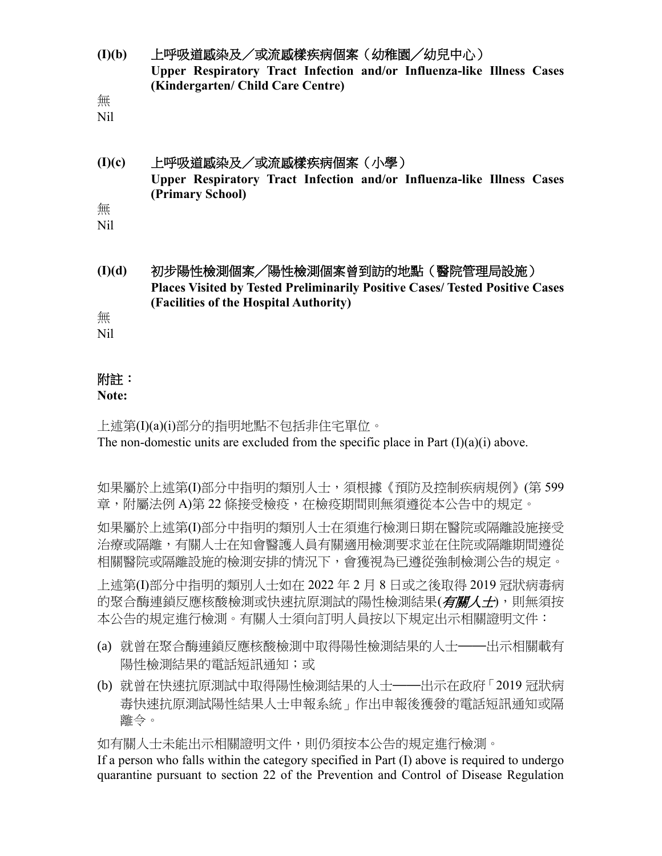**(I)(b)** 上呼吸道感染及/或流感樣疾病個案(幼稚園╱幼兒中心) **Upper Respiratory Tract Infection and/or Influenza-like Illness Cases (Kindergarten/ Child Care Centre)**

無

Nil

### **(I)(c)** 上呼吸道感染及/或流感樣疾病個案(小學) **Upper Respiratory Tract Infection and/or Influenza-like Illness Cases (Primary School)** 無

Nil

**(I)(d)** 初步陽性檢測個案╱陽性檢測個案曾到訪的地點(醫院管理局設施) **Places Visited by Tested Preliminarily Positive Cases/ Tested Positive Cases (Facilities of the Hospital Authority)**

無

Nil

# 附註:

### **Note:**

上述第(I)(a)(i)部分的指明地點不包括非住宅單位。 The non-domestic units are excluded from the specific place in Part  $(I)(a)(i)$  above.

如果屬於上述第(I)部分中指明的類別人士,須根據《預防及控制疾病規例》(第 599 章,附屬法例 A)第 22 條接受檢疫,在檢疫期間則無須遵從本公告中的規定。

如果屬於上述第(I)部分中指明的類別人士在須進行檢測日期在醫院或隔離設施接受 治療或隔離,有關人士在知會醫護人員有關適用檢測要求並在住院或隔離期間遵從 相關醫院或隔離設施的檢測安排的情況下,會獲視為已遵從強制檢測公告的規定。

上述第(I)部分中指明的類別人士如在 2022 年 2 月 8 日或之後取得 2019 冠狀病毒病 的聚合酶連鎖反應核酸檢測或快速抗原測試的陽性檢測結果(*有關人士*),則無須按 本公告的規定進行檢測。有關人士須向訂明人員按以下規定出示相關證明文件:

- (a) 就曾在聚合酶連鎖反應核酸檢測中取得陽性檢測結果的人士——出示相關載有 陽性檢測結果的電話短訊通知;或
- (b) 就曾在快速抗原測試中取得陽性檢測結果的人士——出示在政府「2019 冠狀病 毒快速抗原測試陽性結果人士申報系統」作出申報後獲發的電話短訊通知或隔 離令。

如有關人士未能出示相關證明文件,則仍須按本公告的規定進行檢測。

If a person who falls within the category specified in Part (I) above is required to undergo quarantine pursuant to section 22 of the Prevention and Control of Disease Regulation